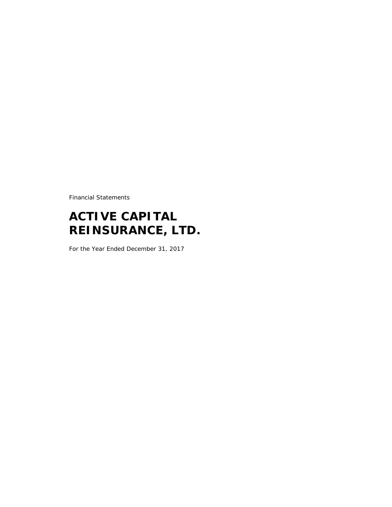Financial Statements

# **ACTIVE CAPITAL REINSURANCE, LTD.**

For the Year Ended December 31, 2017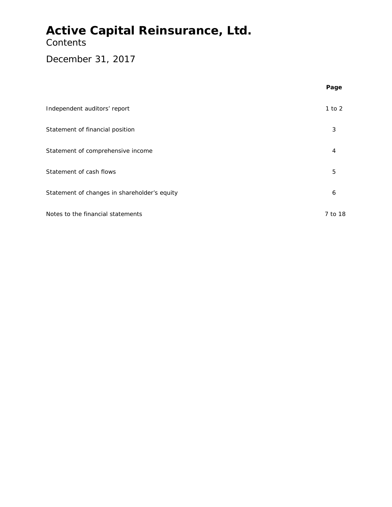### **Contents**

### December 31, 2017

|                                              | Page       |
|----------------------------------------------|------------|
| Independent auditors' report                 | $1$ to $2$ |
| Statement of financial position              | 3          |
| Statement of comprehensive income            | 4          |
| Statement of cash flows                      | 5          |
| Statement of changes in shareholder's equity | 6          |
| Notes to the financial statements            | 7 to 18    |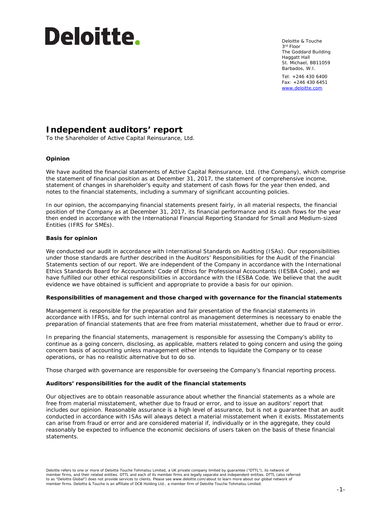# **Deloitte.**

Deloitte & Touche 3rd Floor The Goddard Building Haggatt Hall St. Michael, BB11059 Barbados, W.I.

Tel: +246 430 6400 Fax: +246 430 6451 [www.deloitte.com](http://www.deloitte.com/)

### **Independent auditors' report**

To the Shareholder of Active Capital Reinsurance, Ltd.

#### **Opinion**

We have audited the financial statements of Active Capital Reinsurance, Ltd. (the Company), which comprise the statement of financial position as at December 31, 2017, the statement of comprehensive income, statement of changes in shareholder's equity and statement of cash flows for the year then ended, and notes to the financial statements, including a summary of significant accounting policies.

In our opinion, the accompanying financial statements present fairly, in all material respects, the financial position of the Company as at December 31, 2017, its financial performance and its cash flows for the year then ended in accordance with the International Financial Reporting Standard for Small and Medium-sized Entities (IFRS for SMEs).

#### **Basis for opinion**

We conducted our audit in accordance with International Standards on Auditing (ISAs). Our responsibilities under those standards are further described in the Auditors' Responsibilities for the Audit of the Financial Statements section of our report. We are independent of the Company in accordance with the International Ethics Standards Board for Accountants' Code of Ethics for Professional Accountants (IESBA Code), and we have fulfilled our other ethical responsibilities in accordance with the IESBA Code. We believe that the audit evidence we have obtained is sufficient and appropriate to provide a basis for our opinion.

#### **Responsibilities of management and those charged with governance for the financial statements**

Management is responsible for the preparation and fair presentation of the financial statements in accordance with IFRSs, and for such internal control as management determines is necessary to enable the preparation of financial statements that are free from material misstatement, whether due to fraud or error.

In preparing the financial statements, management is responsible for assessing the Company's ability to continue as a going concern, disclosing, as applicable, matters related to going concern and using the going concern basis of accounting unless management either intends to liquidate the Company or to cease operations, or has no realistic alternative but to do so.

Those charged with governance are responsible for overseeing the Company's financial reporting process.

#### **Auditors' responsibilities for the audit of the financial statements**

Our objectives are to obtain reasonable assurance about whether the financial statements as a whole are free from material misstatement, whether due to fraud or error, and to issue an auditors' report that includes our opinion. Reasonable assurance is a high level of assurance, but is not a guarantee that an audit conducted in accordance with ISAs will always detect a material misstatement when it exists. Misstatements can arise from fraud or error and are considered material if, individually or in the aggregate, they could reasonably be expected to influence the economic decisions of users taken on the basis of these financial statements.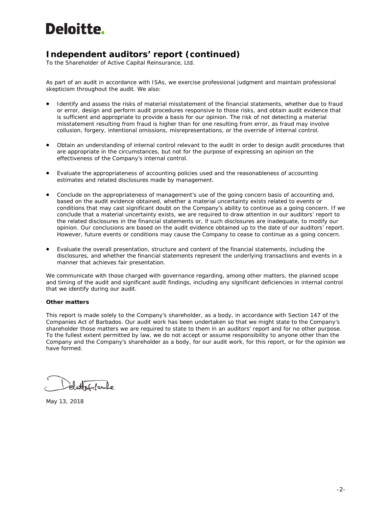# **Deloitte.**

### **Independent auditors' report (continued)**

To the Shareholder of Active Capital Reinsurance, Ltd.

As part of an audit in accordance with ISAs, we exercise professional judgment and maintain professional skepticism throughout the audit. We also:

- Identify and assess the risks of material misstatement of the financial statements, whether due to fraud or error, design and perform audit procedures responsive to those risks, and obtain audit evidence that is sufficient and appropriate to provide a basis for our opinion. The risk of not detecting a material misstatement resulting from fraud is higher than for one resulting from error, as fraud may involve collusion, forgery, intentional omissions, misrepresentations, or the override of internal control.
- Obtain an understanding of internal control relevant to the audit in order to design audit procedures that are appropriate in the circumstances, but not for the purpose of expressing an opinion on the effectiveness of the Company's internal control.
- Evaluate the appropriateness of accounting policies used and the reasonableness of accounting estimates and related disclosures made by management.
- Conclude on the appropriateness of management's use of the going concern basis of accounting and, based on the audit evidence obtained, whether a material uncertainty exists related to events or conditions that may cast significant doubt on the Company's ability to continue as a going concern. If we conclude that a material uncertainty exists, we are required to draw attention in our auditors' report to the related disclosures in the financial statements or, if such disclosures are inadequate, to modify our opinion. Our conclusions are based on the audit evidence obtained up to the date of our auditors' report. However, future events or conditions may cause the Company to cease to continue as a going concern.
- Evaluate the overall presentation, structure and content of the financial statements, including the disclosures, and whether the financial statements represent the underlying transactions and events in a manner that achieves fair presentation.

We communicate with those charged with governance regarding, among other matters, the planned scope and timing of the audit and significant audit findings, including any significant deficiencies in internal control that we identify during our audit.

#### **Other matters**

This report is made solely to the Company's shareholder, as a body, in accordance with Section 147 of the Companies Act of Barbados. Our audit work has been undertaken so that we might state to the Company's shareholder those matters we are required to state to them in an auditors' report and for no other purpose. To the fullest extent permitted by law, we do not accept or assume responsibility to anyone other than the Company and the Company's shareholder as a body, for our audit work, for this report, or for the opinion we have formed.

dattitorle

May 13, 2018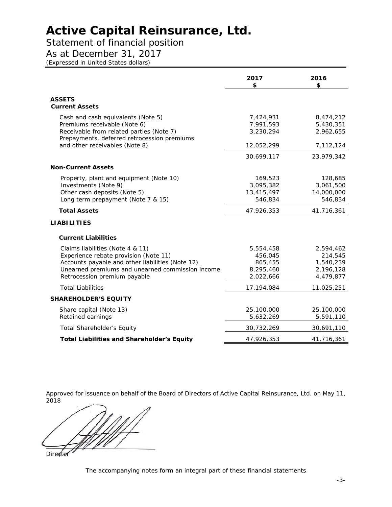### Statement of financial position

As at December 31, 2017

*(Expressed in United States dollars)*

|                                                                                                                                                                                                                   | 2017<br>\$                                                | 2016<br>\$                                                  |
|-------------------------------------------------------------------------------------------------------------------------------------------------------------------------------------------------------------------|-----------------------------------------------------------|-------------------------------------------------------------|
| <b>ASSETS</b><br><b>Current Assets</b>                                                                                                                                                                            |                                                           |                                                             |
| Cash and cash equivalents (Note 5)<br>Premiums receivable (Note 6)<br>Receivable from related parties (Note 7)<br>Prepayments, deferred retrocession premiums<br>and other receivables (Note 8)                   | 7,424,931<br>7,991,593<br>3,230,294<br>12,052,299         | 8,474,212<br>5,430,351<br>2,962,655<br>7,112,124            |
| <b>Non-Current Assets</b>                                                                                                                                                                                         | 30,699,117                                                | 23,979,342                                                  |
| Property, plant and equipment (Note 10)<br>Investments (Note 9)<br>Other cash deposits (Note 5)<br>Long term prepayment (Note 7 & 15)                                                                             | 169,523<br>3,095,382<br>13,415,497<br>546,834             | 128,685<br>3,061,500<br>14,000,000<br>546,834               |
| <b>Total Assets</b>                                                                                                                                                                                               | 47,926,353                                                | 41,716,361                                                  |
| <b>LIABILITIES</b>                                                                                                                                                                                                |                                                           |                                                             |
| <b>Current Liabilities</b>                                                                                                                                                                                        |                                                           |                                                             |
| Claims liabilities (Note 4 & 11)<br>Experience rebate provision (Note 11)<br>Accounts payable and other liabilities (Note 12)<br>Unearned premiums and unearned commission income<br>Retrocession premium payable | 5,554,458<br>456,045<br>865,455<br>8,295,460<br>2,022,666 | 2,594,462<br>214,545<br>1,540,239<br>2,196,128<br>4,479,877 |
| <b>Total Liabilities</b>                                                                                                                                                                                          | 17,194,084                                                | 11,025,251                                                  |
| <b>SHAREHOLDER'S EQUITY</b>                                                                                                                                                                                       |                                                           |                                                             |
| Share capital (Note 13)<br>Retained earnings                                                                                                                                                                      | 25,100,000<br>5,632,269                                   | 25,100,000<br>5,591,110                                     |
| <b>Total Shareholder's Equity</b>                                                                                                                                                                                 | 30,732,269                                                | 30,691,110                                                  |
| <b>Total Liabilities and Shareholder's Equity</b>                                                                                                                                                                 | 47,926,353                                                | 41,716,361                                                  |

Approved for issuance on behalf of the Board of Directors of Active Capital Reinsurance, Ltd. on May 11, 2018

Director

The accompanying notes form an integral part of these financial statements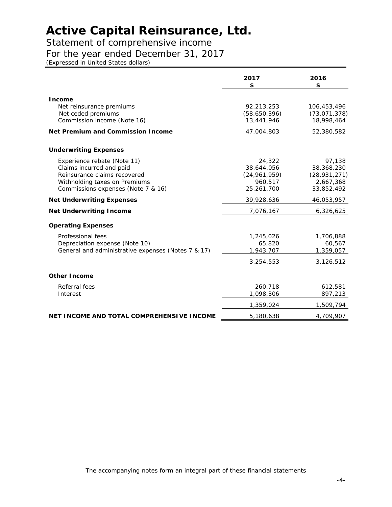### Statement of comprehensive income

### For the year ended December 31, 2017

*(Expressed in United States dollars)*

|                                                                                                                                                                | 2017<br>\$                                                      | 2016<br>\$                                                        |
|----------------------------------------------------------------------------------------------------------------------------------------------------------------|-----------------------------------------------------------------|-------------------------------------------------------------------|
| <b>Income</b><br>Net reinsurance premiums<br>Net ceded premiums<br>Commission income (Note 16)                                                                 | 92,213,253<br>(58,650,396)<br>13,441,946                        | 106,453,496<br>(73, 071, 378)<br>18,998,464                       |
| <b>Net Premium and Commission Income</b>                                                                                                                       | 47,004,803                                                      | 52,380,582                                                        |
| <b>Underwriting Expenses</b>                                                                                                                                   |                                                                 |                                                                   |
| Experience rebate (Note 11)<br>Claims incurred and paid<br>Reinsurance claims recovered<br>Withholding taxes on Premiums<br>Commissions expenses (Note 7 & 16) | 24,322<br>38,644,056<br>(24, 961, 959)<br>960,517<br>25,261,700 | 97,138<br>38,368,230<br>(28, 931, 271)<br>2,667,368<br>33,852,492 |
| <b>Net Underwriting Expenses</b>                                                                                                                               | 39,928,636                                                      | 46,053,957                                                        |
| <b>Net Underwriting Income</b>                                                                                                                                 | 7,076,167                                                       | 6,326,625                                                         |
| <b>Operating Expenses</b>                                                                                                                                      |                                                                 |                                                                   |
| Professional fees<br>Depreciation expense (Note 10)<br>General and administrative expenses (Notes 7 & 17)                                                      | 1,245,026<br>65,820<br>1,943,707<br>3,254,553                   | 1,706,888<br>60,567<br>1,359,057<br>3,126,512                     |
| <b>Other Income</b>                                                                                                                                            |                                                                 |                                                                   |
| Referral fees<br>Interest                                                                                                                                      | 260,718<br>1,098,306                                            | 612,581<br>897,213                                                |
|                                                                                                                                                                | 1,359,024                                                       | 1,509,794                                                         |
| NET INCOME AND TOTAL COMPREHENSIVE INCOME                                                                                                                      | 5,180,638                                                       | 4,709,907                                                         |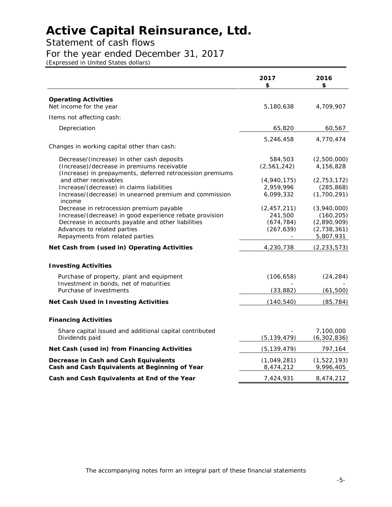### Statement of cash flows

### For the year ended December 31, 2017

*(Expressed in United States dollars)*

|                                                                                                                                                                                                                                       | 2017<br>\$                                           | 2016<br>\$                                                           |
|---------------------------------------------------------------------------------------------------------------------------------------------------------------------------------------------------------------------------------------|------------------------------------------------------|----------------------------------------------------------------------|
| <b>Operating Activities</b><br>Net income for the year                                                                                                                                                                                | 5,180,638                                            | 4,709,907                                                            |
| Items not affecting cash:                                                                                                                                                                                                             |                                                      |                                                                      |
| Depreciation                                                                                                                                                                                                                          | 65,820                                               | 60,567                                                               |
|                                                                                                                                                                                                                                       | 5,246,458                                            | 4,770,474                                                            |
| Changes in working capital other than cash:                                                                                                                                                                                           |                                                      |                                                                      |
| Decrease/(increase) in other cash deposits<br>(Increase)/decrease in premiums receivable<br>(Increase) in prepayments, deferred retrocession premiums                                                                                 | 584,503<br>(2,561,242)                               | (2,500,000)<br>4,156,828                                             |
| and other receivables<br>Increase/(decrease) in claims liabilities<br>Increase/(decrease) in unearned premium and commission                                                                                                          | (4,940,175)<br>2,959,996<br>6,099,332                | (2, 753, 172)<br>(285, 868)<br>(1,700,291)                           |
| income<br>Decrease in retrocession premium payable<br>Increase/(decrease) in good experience rebate provision<br>Decrease in accounts payable and other liabilities<br>Advances to related parties<br>Repayments from related parties | (2, 457, 211)<br>241,500<br>(674, 784)<br>(267, 639) | (3,940,000)<br>(160, 205)<br>(2,890,909)<br>(2,738,361)<br>5,807,931 |
| Net Cash from (used in) Operating Activities                                                                                                                                                                                          | 4,230,738                                            | (2, 233, 573)                                                        |
| <b>Investing Activities</b>                                                                                                                                                                                                           |                                                      |                                                                      |
| Purchase of property, plant and equipment<br>Investment in bonds, net of maturities<br>Purchase of investments                                                                                                                        | (106, 658)<br>(33, 882)                              | (24, 284)<br>(61, 500)                                               |
| <b>Net Cash Used in Investing Activities</b>                                                                                                                                                                                          | (140, 540)                                           | (85, 784)                                                            |
| <b>Financing Activities</b>                                                                                                                                                                                                           |                                                      |                                                                      |
| Share capital issued and additional capital contributed<br>Dividends paid                                                                                                                                                             | (5, 139, 479)                                        | 7,100,000<br>(6,302,836)                                             |
| Net Cash (used in) from Financing Activities                                                                                                                                                                                          | (5, 139, 479)                                        | 797,164                                                              |
| Decrease in Cash and Cash Equivalents<br>Cash and Cash Equivalents at Beginning of Year                                                                                                                                               | (1,049,281)<br>8,474,212                             | (1,522,193)<br>9,996,405                                             |
| Cash and Cash Equivalents at End of the Year                                                                                                                                                                                          | 7,424,931                                            | 8,474,212                                                            |
|                                                                                                                                                                                                                                       |                                                      |                                                                      |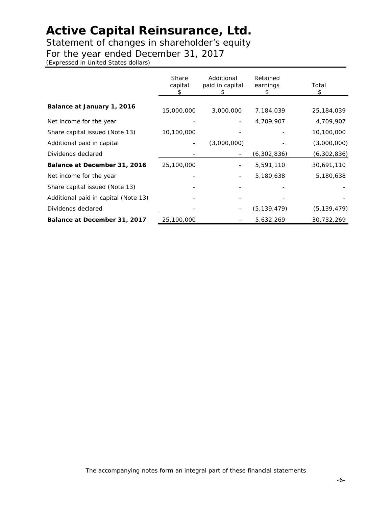Statement of changes in shareholder's equity

For the year ended December 31, 2017

*(Expressed in United States dollars)*

|                                      | <b>Share</b><br>capital<br>S | Additional<br>paid in capital<br>S | Retained<br>earnings<br>\$ | Total<br>\$   |
|--------------------------------------|------------------------------|------------------------------------|----------------------------|---------------|
| Balance at January 1, 2016           | 15,000,000                   | 3,000,000                          | 7,184,039                  | 25,184,039    |
| Net income for the year              |                              |                                    | 4,709,907                  | 4,709,907     |
| Share capital issued (Note 13)       | 10,100,000                   |                                    |                            | 10,100,000    |
| Additional paid in capital           |                              | (3,000,000)                        |                            | (3,000,000)   |
| Dividends declared                   |                              |                                    | (6,302,836)                | (6,302,836)   |
| Balance at December 31, 2016         | 25,100,000                   |                                    | 5,591,110                  | 30,691,110    |
| Net income for the year              |                              |                                    | 5,180,638                  | 5,180,638     |
| Share capital issued (Note 13)       |                              |                                    |                            |               |
| Additional paid in capital (Note 13) |                              |                                    |                            |               |
| Dividends declared                   |                              |                                    | (5, 139, 479)              | (5, 139, 479) |
| Balance at December 31, 2017         | 25,100,000                   |                                    | 5,632,269                  | 30,732,269    |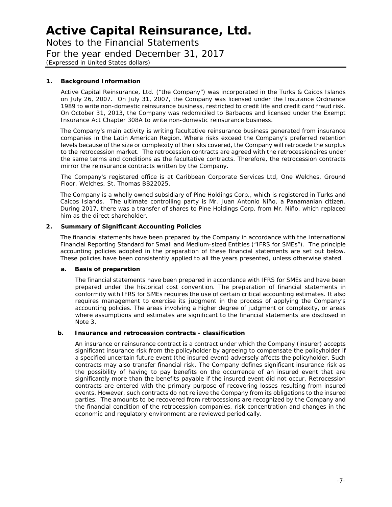Notes to the Financial Statements For the year ended December 31, 2017 *(Expressed in United States dollars)*

#### **1. Background Information**

Active Capital Reinsurance, Ltd. ("the Company") was incorporated in the Turks & Caicos Islands on July 26, 2007. On July 31, 2007, the Company was licensed under the Insurance Ordinance 1989 to write non-domestic reinsurance business, restricted to credit life and credit card fraud risk. On October 31, 2013, the Company was redomiciled to Barbados and licensed under the Exempt Insurance Act Chapter 308A to write non-domestic reinsurance business.

The Company's main activity is writing facultative reinsurance business generated from insurance companies in the Latin American Region. Where risks exceed the Company's preferred retention levels because of the size or complexity of the risks covered, the Company will retrocede the surplus to the retrocession market. The retrocession contracts are agreed with the retrocessionaires under the same terms and conditions as the facultative contracts. Therefore, the retrocession contracts mirror the reinsurance contracts written by the Company.

The Company's registered office is at Caribbean Corporate Services Ltd, One Welches, Ground Floor, Welches, St. Thomas BB22025.

The Company is a wholly owned subsidiary of Pine Holdings Corp., which is registered in Turks and Caicos Islands. The ultimate controlling party is Mr. Juan Antonio Niño, a Panamanian citizen. During 2017, there was a transfer of shares to Pine Holdings Corp. from Mr. Niño, which replaced him as the direct shareholder.

#### **2. Summary of Significant Accounting Policies**

The financial statements have been prepared by the Company in accordance with the International Financial Reporting Standard for Small and Medium-sized Entities ("IFRS for SMEs"). The principle accounting policies adopted in the preparation of these financial statements are set out below. These policies have been consistently applied to all the years presented, unless otherwise stated.

#### **a. Basis of preparation**

The financial statements have been prepared in accordance with IFRS for SMEs and have been prepared under the historical cost convention. The preparation of financial statements in conformity with IFRS for SMEs requires the use of certain critical accounting estimates. It also requires management to exercise its judgment in the process of applying the Company's accounting policies. The areas involving a higher degree of judgment or complexity, or areas where assumptions and estimates are significant to the financial statements are disclosed in Note 3.

#### **b. Insurance and retrocession contracts - classification**

An insurance or reinsurance contract is a contract under which the Company (insurer) accepts significant insurance risk from the policyholder by agreeing to compensate the policyholder if a specified uncertain future event (the insured event) adversely affects the policyholder. Such contracts may also transfer financial risk. The Company defines significant insurance risk as the possibility of having to pay benefits on the occurrence of an insured event that are significantly more than the benefits payable if the insured event did not occur. Retrocession contracts are entered with the primary purpose of recovering losses resulting from insured events. However, such contracts do not relieve the Company from its obligations to the insured parties. The amounts to be recovered from retrocessions are recognized by the Company and the financial condition of the retrocession companies, risk concentration and changes in the economic and regulatory environment are reviewed periodically.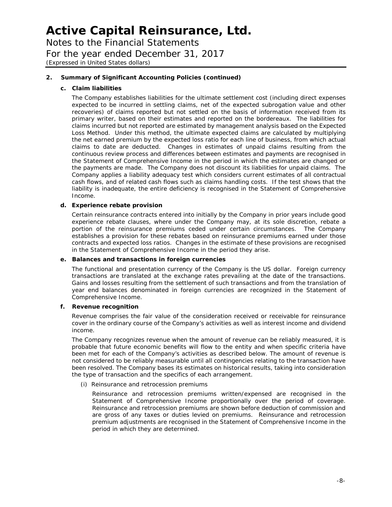Notes to the Financial Statements

For the year ended December 31, 2017

*(Expressed in United States dollars)*

#### **2. Summary of Significant Accounting Policies (continued)**

#### **c. Claim liabilities**

The Company establishes liabilities for the ultimate settlement cost (including direct expenses expected to be incurred in settling claims, net of the expected subrogation value and other recoveries) of claims reported but not settled on the basis of information received from its primary writer, based on their estimates and reported on the bordereaux. The liabilities for claims incurred but not reported are estimated by management analysis based on the Expected Loss Method. Under this method, the ultimate expected claims are calculated by multiplying the net earned premium by the expected loss ratio for each line of business, from which actual claims to date are deducted. Changes in estimates of unpaid claims resulting from the continuous review process and differences between estimates and payments are recognised in the Statement of Comprehensive Income in the period in which the estimates are changed or the payments are made. The Company does not discount its liabilities for unpaid claims. The Company applies a liability adequacy test which considers current estimates of all contractual cash flows, and of related cash flows such as claims handling costs. If the test shows that the liability is inadequate, the entire deficiency is recognised in the Statement of Comprehensive Income.

#### **d. Experience rebate provision**

Certain reinsurance contracts entered into initially by the Company in prior years include good experience rebate clauses, where under the Company may, at its sole discretion, rebate a portion of the reinsurance premiums ceded under certain circumstances. The Company establishes a provision for these rebates based on reinsurance premiums earned under those contracts and expected loss ratios. Changes in the estimate of these provisions are recognised in the Statement of Comprehensive Income in the period they arise.

#### **e. Balances and transactions in foreign currencies**

The functional and presentation currency of the Company is the US dollar. Foreign currency transactions are translated at the exchange rates prevailing at the date of the transactions. Gains and losses resulting from the settlement of such transactions and from the translation of year end balances denominated in foreign currencies are recognized in the Statement of Comprehensive Income.

#### **f. Revenue recognition**

Revenue comprises the fair value of the consideration received or receivable for reinsurance cover in the ordinary course of the Company's activities as well as interest income and dividend income.

The Company recognizes revenue when the amount of revenue can be reliably measured, it is probable that future economic benefits will flow to the entity and when specific criteria have been met for each of the Company's activities as described below. The amount of revenue is not considered to be reliably measurable until all contingencies relating to the transaction have been resolved. The Company bases its estimates on historical results, taking into consideration the type of transaction and the specifics of each arrangement.

#### *(i) Reinsurance and retrocession premiums*

Reinsurance and retrocession premiums written/expensed are recognised in the Statement of Comprehensive Income proportionally over the period of coverage. Reinsurance and retrocession premiums are shown before deduction of commission and are gross of any taxes or duties levied on premiums. Reinsurance and retrocession premium adjustments are recognised in the Statement of Comprehensive Income in the period in which they are determined.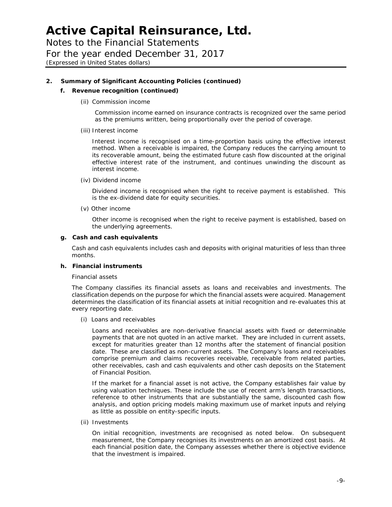Notes to the Financial Statements For the year ended December 31, 2017 *(Expressed in United States dollars)*

#### **2. Summary of Significant Accounting Policies (continued)**

#### **f. Revenue recognition (continued)**

#### *(ii) Commission income*

Commission income earned on insurance contracts is recognized over the same period as the premiums written, being proportionally over the period of coverage.

#### *(iii) Interest income*

Interest income is recognised on a time-proportion basis using the effective interest method. When a receivable is impaired, the Company reduces the carrying amount to its recoverable amount, being the estimated future cash flow discounted at the original effective interest rate of the instrument, and continues unwinding the discount as interest income.

*(iv) Dividend income*

Dividend income is recognised when the right to receive payment is established. This is the ex-dividend date for equity securities.

*(v) Other income*

Other income is recognised when the right to receive payment is established, based on the underlying agreements.

#### **g. Cash and cash equivalents**

Cash and cash equivalents includes cash and deposits with original maturities of less than three months.

#### **h. Financial instruments**

#### *Financial assets*

The Company classifies its financial assets as loans and receivables and investments. The classification depends on the purpose for which the financial assets were acquired. Management determines the classification of its financial assets at initial recognition and re-evaluates this at every reporting date.

*(i) Loans and receivables*

Loans and receivables are non-derivative financial assets with fixed or determinable payments that are not quoted in an active market. They are included in current assets, except for maturities greater than 12 months after the statement of financial position date. These are classified as non-current assets. The Company's loans and receivables comprise premium and claims recoveries receivable, receivable from related parties, other receivables, cash and cash equivalents and other cash deposits on the Statement of Financial Position.

If the market for a financial asset is not active, the Company establishes fair value by using valuation techniques. These include the use of recent arm's length transactions, reference to other instruments that are substantially the same, discounted cash flow analysis, and option pricing models making maximum use of market inputs and relying as little as possible on entity-specific inputs.

#### *(ii) Investments*

On initial recognition, investments are recognised as noted below. On subsequent measurement, the Company recognises its investments on an amortized cost basis. At each financial position date, the Company assesses whether there is objective evidence that the investment is impaired.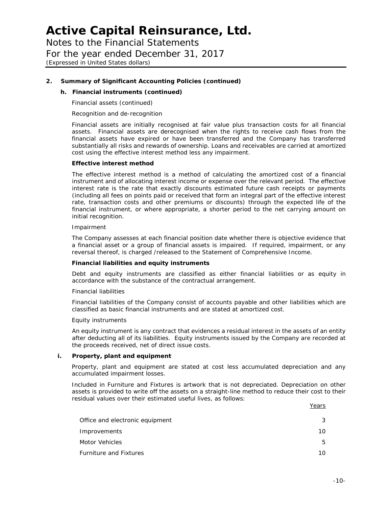Notes to the Financial Statements For the year ended December 31, 2017

*(Expressed in United States dollars)*

#### **2. Summary of Significant Accounting Policies (continued)**

#### **h. Financial instruments (continued)**

*Financial assets (continued)*

#### *Recognition and de-recognition*

Financial assets are initially recognised at fair value plus transaction costs for all financial assets. Financial assets are derecognised when the rights to receive cash flows from the financial assets have expired or have been transferred and the Company has transferred substantially all risks and rewards of ownership. Loans and receivables are carried at amortized cost using the effective interest method less any impairment.

#### **Effective interest method**

The effective interest method is a method of calculating the amortized cost of a financial instrument and of allocating interest income or expense over the relevant period. The effective interest rate is the rate that exactly discounts estimated future cash receipts or payments (including all fees on points paid or received that form an integral part of the effective interest rate, transaction costs and other premiums or discounts) through the expected life of the financial instrument, or where appropriate, a shorter period to the net carrying amount on initial recognition.

#### *Impairment*

The Company assesses at each financial position date whether there is objective evidence that a financial asset or a group of financial assets is impaired. If required, impairment, or any reversal thereof, is charged /released to the Statement of Comprehensive Income.

#### **Financial liabilities and equity instruments**

Debt and equity instruments are classified as either financial liabilities or as equity in accordance with the substance of the contractual arrangement.

#### *Financial liabilities*

Financial liabilities of the Company consist of accounts payable and other liabilities which are classified as basic financial instruments and are stated at amortized cost.

#### *Equity instruments*

An equity instrument is any contract that evidences a residual interest in the assets of an entity after deducting all of its liabilities. Equity instruments issued by the Company are recorded at the proceeds received, net of direct issue costs.

#### **i. Property, plant and equipment**

Property, plant and equipment are stated at cost less accumulated depreciation and any accumulated impairment losses.

Included in Furniture and Fixtures is artwork that is not depreciated. Depreciation on other assets is provided to write off the assets on a straight-line method to reduce their cost to their residual values over their estimated useful lives, as follows:  $V = -1$ 

|                                 | rears |
|---------------------------------|-------|
| Office and electronic equipment |       |
| Improvements                    | 10    |
| Motor Vehicles                  | 5     |
| <b>Furniture and Fixtures</b>   | 10    |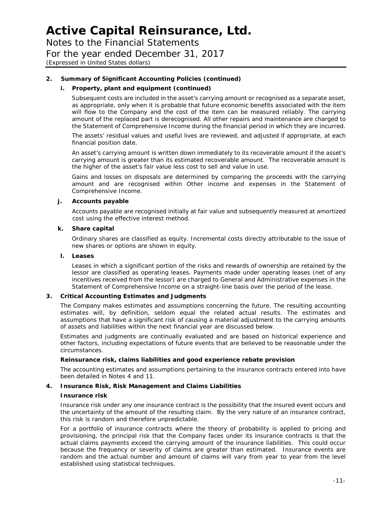Notes to the Financial Statements

For the year ended December 31, 2017

*(Expressed in United States dollars)*

#### **2. Summary of Significant Accounting Policies (continued)**

#### **i. Property, plant and equipment (continued)**

Subsequent costs are included in the asset's carrying amount or recognised as a separate asset, as appropriate, only when it is probable that future economic benefits associated with the item will flow to the Company and the cost of the item can be measured reliably. The carrying amount of the replaced part is derecognised. All other repairs and maintenance are charged to the Statement of Comprehensive Income during the financial period in which they are incurred.

The assets' residual values and useful lives are reviewed, and adjusted if appropriate, at each financial position date.

An asset's carrying amount is written down immediately to its recoverable amount if the asset's carrying amount is greater than its estimated recoverable amount. The recoverable amount is the higher of the asset's fair value less cost to sell and value in use.

Gains and losses on disposals are determined by comparing the proceeds with the carrying amount and are recognised within Other income and expenses in the Statement of Comprehensive Income.

#### **j. Accounts payable**

Accounts payable are recognised initially at fair value and subsequently measured at amortized cost using the effective interest method.

#### **k. Share capital**

Ordinary shares are classified as equity. Incremental costs directly attributable to the issue of new shares or options are shown in equity.

#### **l. Leases**

Leases in which a significant portion of the risks and rewards of ownership are retained by the lessor are classified as operating leases. Payments made under operating leases (net of any incentives received from the lessor) are charged to General and Administrative expenses in the Statement of Comprehensive Income on a straight-line basis over the period of the lease.

#### **3. Critical Accounting Estimates and Judgments**

The Company makes estimates and assumptions concerning the future. The resulting accounting estimates will, by definition, seldom equal the related actual results. The estimates and assumptions that have a significant risk of causing a material adjustment to the carrying amounts of assets and liabilities within the next financial year are discussed below.

Estimates and judgments are continually evaluated and are based on historical experience and other factors, including expectations of future events that are believed to be reasonable under the circumstances.

#### *Reinsurance risk, claims liabilities and good experience rebate provision*

The accounting estimates and assumptions pertaining to the insurance contracts entered into have been detailed in Notes 4 and 11.

#### **4. Insurance Risk, Risk Management and Claims Liabilities**

#### **Insurance risk**

Insurance risk under any one insurance contract is the possibility that the insured event occurs and the uncertainty of the amount of the resulting claim. By the very nature of an insurance contract, this risk is random and therefore unpredictable.

For a portfolio of insurance contracts where the theory of probability is applied to pricing and provisioning, the principal risk that the Company faces under its insurance contracts is that the actual claims payments exceed the carrying amount of the insurance liabilities. This could occur because the frequency or severity of claims are greater than estimated. Insurance events are random and the actual number and amount of claims will vary from year to year from the level established using statistical techniques.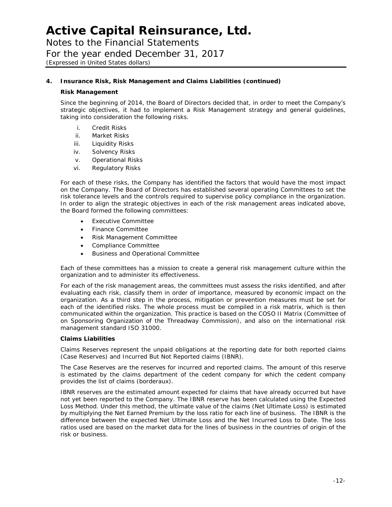Notes to the Financial Statements For the year ended December 31, 2017 *(Expressed in United States dollars)*

#### **4. Insurance Risk, Risk Management and Claims Liabilities (continued)**

#### **Risk Management**

Since the beginning of 2014, the Board of Directors decided that, in order to meet the Company's strategic objectives, it had to implement a Risk Management strategy and general guidelines, taking into consideration the following risks.

- i. Credit Risks
- ii. Market Risks
- iii. Liquidity Risks
- iv. Solvency Risks
- v. Operational Risks
- vi. Regulatory Risks

For each of these risks, the Company has identified the factors that would have the most impact on the Company. The Board of Directors has established several operating Committees to set the risk tolerance levels and the controls required to supervise policy compliance in the organization. In order to align the strategic objectives in each of the risk management areas indicated above, the Board formed the following committees:

- Executive Committee
- Finance Committee
- Risk Management Committee
- Compliance Committee
- Business and Operational Committee

Each of these committees has a mission to create a general risk management culture within the organization and to administer its effectiveness.

For each of the risk management areas, the committees must assess the risks identified, and after evaluating each risk, classify them in order of importance, measured by economic impact on the organization. As a third step in the process, mitigation or prevention measures must be set for each of the identified risks. The whole process must be compiled in a risk matrix, which is then communicated within the organization. This practice is based on the COSO II Matrix (Committee of on Sponsoring Organization of the Threadway Commission), and also on the international risk management standard ISO 31000.

#### **Claims Liabilities**

Claims Reserves represent the unpaid obligations at the reporting date for both reported claims (Case Reserves) and Incurred But Not Reported claims (IBNR).

The Case Reserves are the reserves for incurred and reported claims. The amount of this reserve is estimated by the claims department of the cedent company for which the cedent company provides the list of claims (borderaux).

IBNR reserves are the estimated amount expected for claims that have already occurred but have not yet been reported to the Company. The IBNR reserve has been calculated using the Expected Loss Method. Under this method, the ultimate value of the claims (Net Ultimate Loss) is estimated by multiplying the Net Earned Premium by the loss ratio for each line of business. The IBNR is the difference between the expected Net Ultimate Loss and the Net Incurred Loss to Date. The loss ratios used are based on the market data for the lines of business in the countries of origin of the risk or business.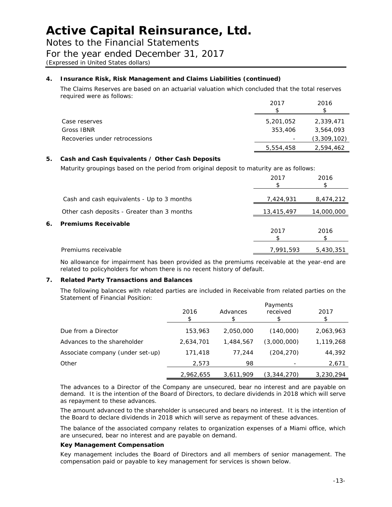Notes to the Financial Statements

### For the year ended December 31, 2017

*(Expressed in United States dollars)*

#### **4. Insurance Risk, Risk Management and Claims Liabilities (continued)**

The Claims Reserves are based on an actuarial valuation which concluded that the total reserves required were as follows:

|                                | 2017                     | 2016        |
|--------------------------------|--------------------------|-------------|
| Case reserves                  | 5,201,052                | 2,339,471   |
| Gross IBNR                     | 353,406                  | 3,564,093   |
| Recoveries under retrocessions | $\overline{\phantom{a}}$ | (3,309,102) |
|                                | 5,554,458                | 2,594,462   |

#### **5. Cash and Cash Equivalents / Other Cash Deposits**

Maturity groupings based on the period from original deposit to maturity are as follows:

|    |                                             | 2017       | 2016       |
|----|---------------------------------------------|------------|------------|
|    | Cash and cash equivalents - Up to 3 months  | 7,424,931  | 8,474,212  |
|    | Other cash deposits - Greater than 3 months | 13,415,497 | 14,000,000 |
| 6. | <b>Premiums Receivable</b>                  | 2017       | 2016       |
|    | Premiums receivable                         | 7,991,593  | 5,430,351  |

No allowance for impairment has been provided as the premiums receivable at the year-end are related to policyholders for whom there is no recent history of default.

#### **7. Related Party Transactions and Balances**

The following balances with related parties are included in Receivable from related parties on the Statement of Financial Position:

|                                  | 2016      | Advances  | Payments<br>received | 2017      |
|----------------------------------|-----------|-----------|----------------------|-----------|
| Due from a Director              | 153,963   | 2,050,000 | (140,000)            | 2,063,963 |
| Advances to the shareholder      | 2,634,701 | 1,484,567 | (3,000,000)          | 1,119,268 |
| Associate company (under set-up) | 171,418   | 77.244    | (204,270)            | 44,392    |
| Other                            | 2,573     | 98        |                      | 2,671     |
|                                  | 2,962,655 | 3.611.909 | (3,344,270)          | 3,230,294 |

The advances to a Director of the Company are unsecured, bear no interest and are payable on demand. It is the intention of the Board of Directors, to declare dividends in 2018 which will serve as repayment to these advances.

The amount advanced to the shareholder is unsecured and bears no interest. It is the intention of the Board to declare dividends in 2018 which will serve as repayment of these advances.

The balance of the associated company relates to organization expenses of a Miami office, which are unsecured, bear no interest and are payable on demand.

#### *Key Management Compensation*

Key management includes the Board of Directors and all members of senior management. The compensation paid or payable to key management for services is shown below.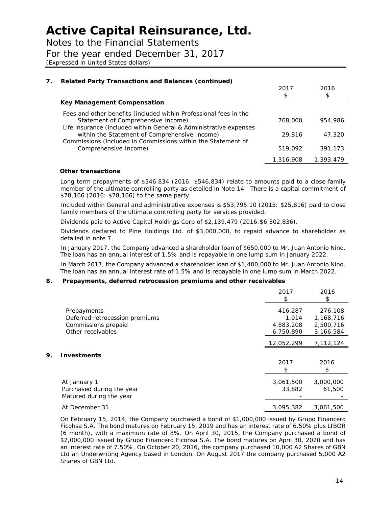Notes to the Financial Statements

For the year ended December 31, 2017

*(Expressed in United States dollars)*

| 7. | <b>Related Party Transactions and Balances (continued)</b>                                                                                                                   |           |           |
|----|------------------------------------------------------------------------------------------------------------------------------------------------------------------------------|-----------|-----------|
|    |                                                                                                                                                                              | 2017      | 2016      |
|    | Key Management Compensation                                                                                                                                                  |           |           |
|    | Fees and other benefits (included within Professional fees in the<br>Statement of Comprehensive Income)<br>Life insurance (included within General & Administrative expenses | 768,000   | 954,986   |
|    | within the Statement of Comprehensive Income)<br>Commissions (included in Commissions within the Statement of                                                                | 29,816    | 47,320    |
|    | Comprehensive Income)                                                                                                                                                        | 519,092   | 391,173   |
|    |                                                                                                                                                                              | 1,316,908 | 1,393,479 |

#### *Other transactions*

Long term prepayments of \$546,834 (2016: \$546,834) relate to amounts paid to a close family member of the ultimate controlling party as detailed in Note 14. There is a capital commitment of \$78,166 (2016: \$78,166) to the same party.

Included within General and administrative expenses is \$53,795.10 (2015: \$25,816) paid to close family members of the ultimate controlling party for services provided.

Dividends paid to Active Capital Holdings Corp of \$2,139,479 (2016:\$6,302,836).

Dividends declared to Pine Holdings Ltd. of \$3,000,000, to repaid advance to shareholder as detailed in note 7.

In January 2017, the Company advanced a shareholder loan of \$650,000 to Mr. Juan Antonio Nino. The loan has an annual interest of 1.5% and is repayable in one lump sum in January 2022.

In March 2017, the Company advanced a shareholder loan of \$1,400,000 to Mr. Juan Antonio Nino. The loan has an annual interest rate of 1.5% and is repayable in one lump sum in March 2022.

#### **8. Prepayments, deferred retrocession premiums and other receivables**

|    |                                | 2017<br>S. | 2016<br>\$ |
|----|--------------------------------|------------|------------|
|    | Prepayments                    | 416,287    | 276,108    |
|    | Deferred retrocession premiums | 1.914      | 1,168,716  |
|    | Commissions prepaid            | 4,883,208  | 2,500,716  |
|    | Other receivables              | 6,750,890  | 3,166,584  |
|    |                                | 12,052,299 | 7,112,124  |
| 9. | <b>Investments</b>             |            |            |
|    |                                | 2017       | 2016       |
|    |                                | \$         | \$         |
|    | At January 1                   | 3,061,500  | 3,000,000  |
|    | Purchased during the year      | 33,882     | 61,500     |
|    | Matured during the year        |            |            |
|    | At December 31                 | 3,095,382  | 3,061,500  |

On February 15, 2014, the Company purchased a bond of \$1,000,000 issued by Grupo Financero Ficohsa S.A. The bond matures on February 15, 2019 and has an interest rate of 6.50% plus LIBOR (6 month), with a maximum rate of 8%. On April 30, 2015, the Company purchased a bond of \$2,000,000 issued by Grupo Financero Ficohsa S.A. The bond matures on April 30, 2020 and has an interest rate of 7.50%. On October 20, 2016, the company purchased 10,000 A2 Shares of GBN Ltd an Underwriting Agency based in London. On August 2017 the company purchased 5,000 A2 Shares of GBN Ltd.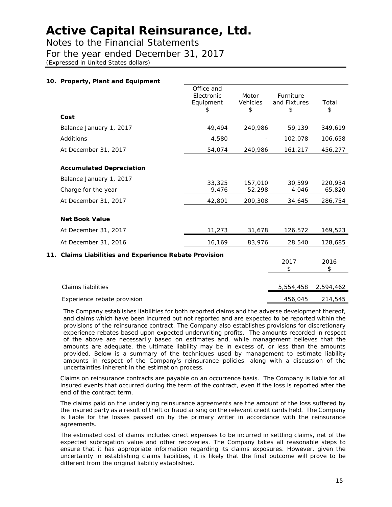Notes to the Financial Statements

For the year ended December 31, 2017

*(Expressed in United States dollars)*

#### **10. Property, Plant and Equipment** Office and Electronic Equipment \$ Motor Vehicles \$ Furniture and Fixtures \$ Total  $\frac{1}{2}$ **Cost** Balance January 1, 2017 49,494 240,986 59,139 349,619 Additions 4,580 - 102,078 106,658 At December 31, 2017 1880 161, 2020 161, 2020, 240, 240, 240, 240, 240, 260 161, 217 **Accumulated Depreciation** Balance January 1, 2017<br>33.325 157.010 30.599 220.934 Charge for the year 9,476 52,298 4,046 65,820 At December 31, 2017 42,801 209,308 34,645 286,754 **Net Book Value** At December 31, 2017 11,273 31,678 126,572 169,523 At December 31, 2016 16,169 83,976 28,540 128,685 **11. Claims Liabilities and Experience Rebate Provision** 2017 \$ 2016 \$ Claims liabilities 5,554,458 2,594,462

Experience rebate provision and the contract of the 456,045 214,545

The Company establishes liabilities for both reported claims and the adverse development thereof, and claims which have been incurred but not reported and are expected to be reported within the provisions of the reinsurance contract. The Company also establishes provisions for discretionary experience rebates based upon expected underwriting profits. The amounts recorded in respect of the above are necessarily based on estimates and, while management believes that the amounts are adequate, the ultimate liability may be in excess of, or less than the amounts provided. Below is a summary of the techniques used by management to estimate liability amounts in respect of the Company's reinsurance policies, along with a discussion of the uncertainties inherent in the estimation process.

Claims on reinsurance contracts are payable on an occurrence basis. The Company is liable for all insured events that occurred during the term of the contract, even if the loss is reported after the end of the contract term.

The claims paid on the underlying reinsurance agreements are the amount of the loss suffered by the insured party as a result of theft or fraud arising on the relevant credit cards held. The Company is liable for the losses passed on by the primary writer in accordance with the reinsurance agreements.

The estimated cost of claims includes direct expenses to be incurred in settling claims, net of the expected subrogation value and other recoveries. The Company takes all reasonable steps to ensure that it has appropriate information regarding its claims exposures. However, given the uncertainty in establishing claims liabilities, it is likely that the final outcome will prove to be different from the original liability established.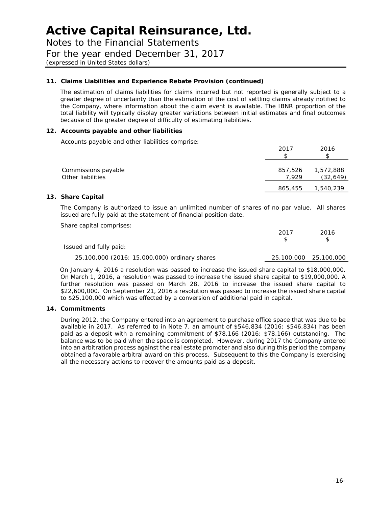Notes to the Financial Statements For the year ended December 31, 2017

*(expressed in United States dollars)*

#### **11. Claims Liabilities and Experience Rebate Provision (continued)**

The estimation of claims liabilities for claims incurred but not reported is generally subject to a greater degree of uncertainty than the estimation of the cost of settling claims already notified to the Company, where information about the claim event is available. The IBNR proportion of the total liability will typically display greater variations between initial estimates and final outcomes because of the greater degree of difficulty of estimating liabilities.

#### **12. Accounts payable and other liabilities**

Accounts payable and other liabilities comprise:

|                                          | 2017             | 2016                   |
|------------------------------------------|------------------|------------------------|
| Commissions payable<br>Other liabilities | 857,526<br>7.929 | 1,572,888<br>(32, 649) |
|                                          | 865,455          | 1,540,239              |

#### **13. Share Capital**

The Company is authorized to issue an unlimited number of shares of no par value. All shares issued are fully paid at the statement of financial position date.

Share capital comprises:

|                                               | 2017 | 2016                  |
|-----------------------------------------------|------|-----------------------|
|                                               |      |                       |
| Issued and fully paid:                        |      |                       |
| 25,100,000 (2016: 15,000,000) ordinary shares |      | 25,100,000 25,100,000 |

On January 4, 2016 a resolution was passed to increase the issued share capital to \$18,000,000. On March 1, 2016, a resolution was passed to increase the issued share capital to \$19,000,000. A further resolution was passed on March 28, 2016 to increase the issued share capital to \$22,600,000. On September 21, 2016 a resolution was passed to increase the issued share capital to \$25,100,000 which was effected by a conversion of additional paid in capital.

#### **14. Commitments**

During 2012, the Company entered into an agreement to purchase office space that was due to be available in 2017. As referred to in Note 7, an amount of \$546,834 (2016: \$546,834) has been paid as a deposit with a remaining commitment of \$78,166 (2016: \$78,166) outstanding. The balance was to be paid when the space is completed. However, during 2017 the Company entered into an arbitration process against the real estate promoter and also during this period the company obtained a favorable arbitral award on this process. Subsequent to this the Company is exercising all the necessary actions to recover the amounts paid as a deposit.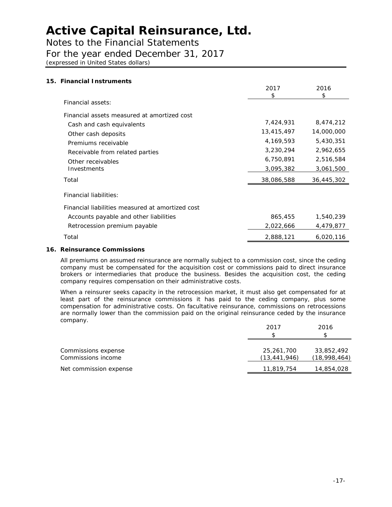Notes to the Financial Statements

### For the year ended December 31, 2017

*(expressed in United States dollars)*

| 15. Financial Instruments                        |            |            |
|--------------------------------------------------|------------|------------|
|                                                  | 2017<br>\$ | 2016<br>\$ |
| Financial assets:                                |            |            |
| Financial assets measured at amortized cost      |            |            |
| Cash and cash equivalents                        | 7,424,931  | 8,474,212  |
| Other cash deposits                              | 13,415,497 | 14,000,000 |
| Premiums receivable                              | 4,169,593  | 5,430,351  |
| Receivable from related parties                  | 3,230,294  | 2,962,655  |
| Other receivables                                | 6,750,891  | 2,516,584  |
| Investments                                      | 3,095,382  | 3,061,500  |
| Total                                            | 38,086,588 | 36,445,302 |
| <b>Financial liabilities:</b>                    |            |            |
| Financial liabilities measured at amortized cost |            |            |
| Accounts payable and other liabilities           | 865,455    | 1,540,239  |
| Retrocession premium payable                     | 2,022,666  | 4,479,877  |
| Total                                            | 2,888,121  | 6,020,116  |

#### **16. Reinsurance Commissions**

All premiums on assumed reinsurance are normally subject to a commission cost, since the ceding company must be compensated for the acquisition cost or commissions paid to direct insurance brokers or intermediaries that produce the business. Besides the acquisition cost, the ceding company requires compensation on their administrative costs.

When a reinsurer seeks capacity in the retrocession market, it must also get compensated for at least part of the reinsurance commissions it has paid to the ceding company, plus some compensation for administrative costs. On facultative reinsurance, commissions on retrocessions are normally lower than the commission paid on the original reinsurance ceded by the insurance company.

|                                           | 2017                       | 2016                       |
|-------------------------------------------|----------------------------|----------------------------|
|                                           |                            | \$                         |
| Commissions expense<br>Commissions income | 25,261,700<br>(13,441,946) | 33,852,492<br>(18,998,464) |
| Net commission expense                    | 11,819,754                 | 14,854,028                 |